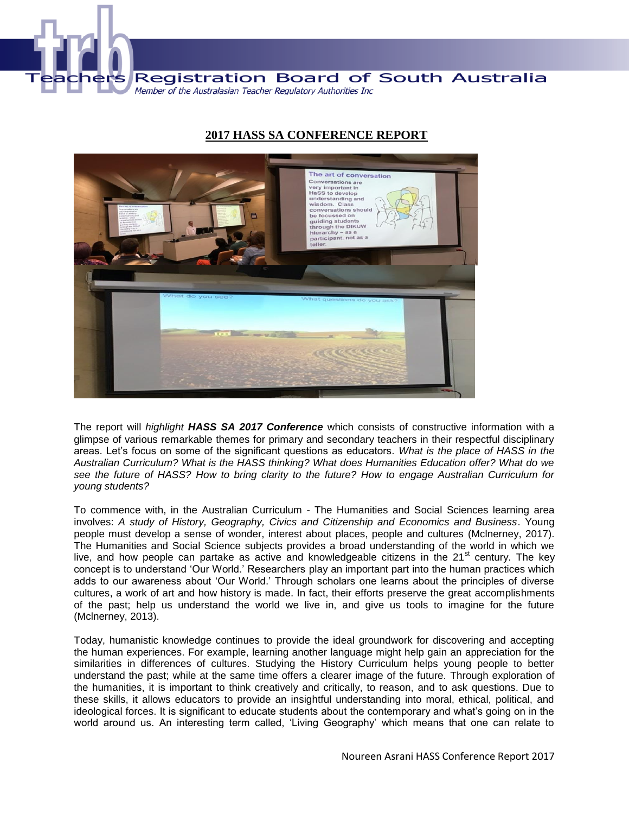

## **2017 HASS SA CONFERENCE REPORT**



The report will *highlight HASS SA 2017 Conference* which consists of constructive information with a glimpse of various remarkable themes for primary and secondary teachers in their respectful disciplinary areas. Let's focus on some of the significant questions as educators. *What is the place of HASS in the Australian Curriculum? What is the HASS thinking? What does Humanities Education offer? What do we see the future of HASS? How to bring clarity to the future? How to engage Australian Curriculum for young students?*

To commence with, in the Australian Curriculum - The Humanities and Social Sciences learning area involves: *A study of History, Geography, Civics and Citizenship and Economics and Business*. Young people must develop a sense of wonder, interest about places, people and cultures (Mclnerney, 2017). The Humanities and Social Science subjects provides a broad understanding of the world in which we live, and how people can partake as active and knowledgeable citizens in the  $21<sup>st</sup>$  century. The key concept is to understand 'Our World.' Researchers play an important part into the human practices which adds to our awareness about 'Our World.' Through scholars one learns about the principles of diverse cultures, a work of art and how history is made. In fact, their efforts preserve the great accomplishments of the past; help us understand the world we live in, and give us tools to imagine for the future (Mclnerney, 2013).

Today, humanistic knowledge continues to provide the ideal groundwork for discovering and accepting the human experiences. For example, learning another language might help gain an appreciation for the similarities in differences of cultures. Studying the History Curriculum helps young people to better understand the past; while at the same time offers a clearer image of the future. Through exploration of the humanities, it is important to think creatively and critically, to reason, and to ask questions. Due to these skills, it allows educators to provide an insightful understanding into moral, ethical, political, and ideological forces. It is significant to educate students about the contemporary and what's going on in the world around us. An interesting term called, 'Living Geography' which means that one can relate to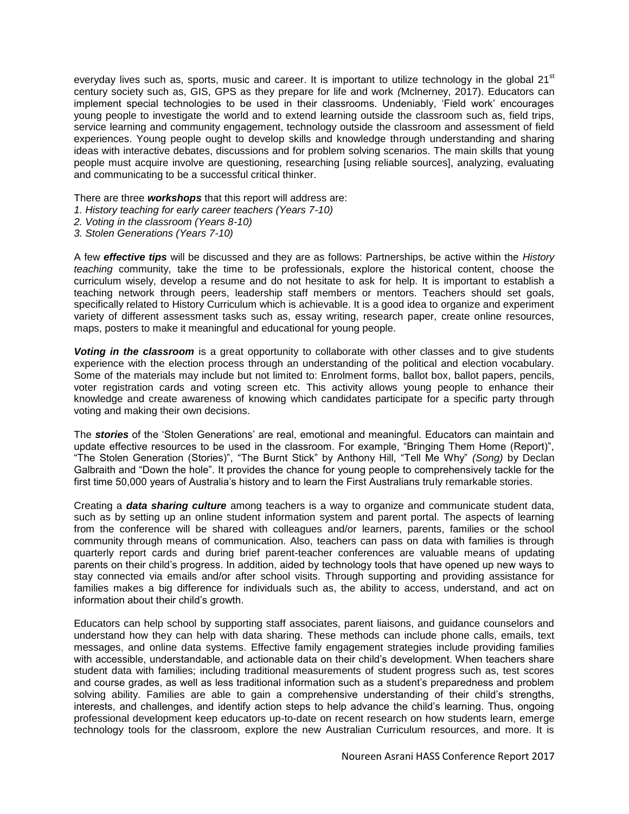everyday lives such as, sports, music and career. It is important to utilize technology in the global  $21<sup>st</sup>$ century society such as, GIS, GPS as they prepare for life and work *(*Mclnerney, 2017). Educators can implement special technologies to be used in their classrooms. Undeniably, 'Field work' encourages young people to investigate the world and to extend learning outside the classroom such as, field trips, service learning and community engagement, technology outside the classroom and assessment of field experiences. Young people ought to develop skills and knowledge through understanding and sharing ideas with interactive debates, discussions and for problem solving scenarios. The main skills that young people must acquire involve are questioning, researching [using reliable sources], analyzing, evaluating and communicating to be a successful critical thinker.

There are three *workshops* that this report will address are:

- *1. History teaching for early career teachers (Years 7-10)*
- *2. Voting in the classroom (Years 8-10)*
- *3. Stolen Generations (Years 7-10)*

A few *effective tips* will be discussed and they are as follows: Partnerships, be active within the *History teaching* community, take the time to be professionals, explore the historical content, choose the curriculum wisely, develop a resume and do not hesitate to ask for help. It is important to establish a teaching network through peers, leadership staff members or mentors. Teachers should set goals, specifically related to History Curriculum which is achievable. It is a good idea to organize and experiment variety of different assessment tasks such as, essay writing, research paper, create online resources, maps, posters to make it meaningful and educational for young people.

*Voting in the classroom* is a great opportunity to collaborate with other classes and to give students experience with the election process through an understanding of the political and election vocabulary. Some of the materials may include but not limited to: Enrolment forms, ballot box, ballot papers, pencils, voter registration cards and voting screen etc. This activity allows young people to enhance their knowledge and create awareness of knowing which candidates participate for a specific party through voting and making their own decisions.

The *stories* of the 'Stolen Generations' are real, emotional and meaningful. Educators can maintain and update effective resources to be used in the classroom. For example, "Bringing Them Home (Report)", "The Stolen Generation (Stories)", "The Burnt Stick" by Anthony Hill, "Tell Me Why" *(Song)* by Declan Galbraith and "Down the hole". It provides the chance for young people to comprehensively tackle for the first time 50,000 years of Australia's history and to learn the First Australians truly remarkable stories.

Creating a *data sharing culture* among teachers is a way to organize and communicate student data, such as by setting up an online student information system and parent portal. The aspects of learning from the conference will be shared with colleagues and/or learners, parents, families or the school community through means of communication. Also, teachers can pass on data with families is through quarterly report cards and during brief parent-teacher conferences are valuable means of updating parents on their child's progress. In addition, aided by technology tools that have opened up new ways to stay connected via emails and/or after school visits. Through supporting and providing assistance for families makes a big difference for individuals such as, the ability to access, understand, and act on information about their child's growth.

Educators can help school by supporting staff associates, parent liaisons, and guidance counselors and understand how they can help with data sharing. These methods can include phone calls, emails, text messages, and online data systems. Effective family engagement strategies include providing families with accessible, understandable, and actionable data on their child's development. When teachers share student data with families; including traditional measurements of student progress such as, test scores and course grades, as well as less traditional information such as a student's preparedness and problem solving ability. Families are able to gain a comprehensive understanding of their child's strengths, interests, and challenges, and identify action steps to help advance the child's learning. Thus, ongoing professional development keep educators up-to-date on recent research on how students learn, emerge technology tools for the classroom, explore the new Australian Curriculum resources, and more. It is